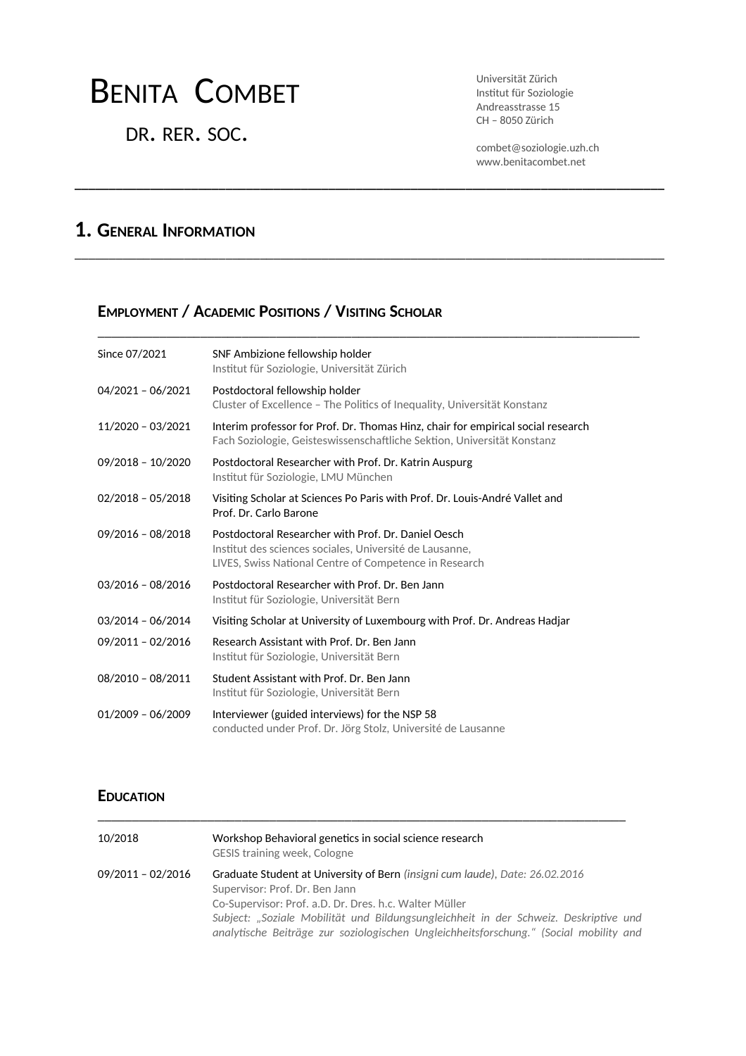# BENITA COMBET

DR. RER. SOC.

Universität Zürich Institut für Soziologie Andreasstrasse 15 CH – 8050 Zürich

combet@soziologie.uzh.ch www.benitacombet.net

# **1. GENERAL INFORMATION**

### **EMPLOYMENT / ACADEMIC POSITIONS / VISITING SCHOLAR**

| Since 07/2021       | SNF Ambizione fellowship holder                                                                                                                                          |
|---------------------|--------------------------------------------------------------------------------------------------------------------------------------------------------------------------|
|                     | Institut für Soziologie, Universität Zürich                                                                                                                              |
| $04/2021 - 06/2021$ | Postdoctoral fellowship holder<br>Cluster of Excellence - The Politics of Inequality, Universität Konstanz                                                               |
| 11/2020 - 03/2021   | Interim professor for Prof. Dr. Thomas Hinz, chair for empirical social research<br>Fach Soziologie, Geisteswissenschaftliche Sektion, Universität Konstanz              |
| 09/2018 - 10/2020   | Postdoctoral Researcher with Prof. Dr. Katrin Auspurg<br>Institut für Soziologie, LMU München                                                                            |
| $02/2018 - 05/2018$ | Visiting Scholar at Sciences Po Paris with Prof. Dr. Louis-André Vallet and<br>Prof. Dr. Carlo Barone                                                                    |
| $09/2016 - 08/2018$ | Postdoctoral Researcher with Prof. Dr. Daniel Oesch<br>Institut des sciences sociales, Université de Lausanne,<br>LIVES, Swiss National Centre of Competence in Research |
| $03/2016 - 08/2016$ | Postdoctoral Researcher with Prof. Dr. Ben Jann<br>Institut für Soziologie, Universität Bern                                                                             |
| $03/2014 - 06/2014$ | Visiting Scholar at University of Luxembourg with Prof. Dr. Andreas Hadjar                                                                                               |
| 09/2011 - 02/2016   | Research Assistant with Prof. Dr. Ben Jann<br>Institut für Soziologie, Universität Bern                                                                                  |
| 08/2010 - 08/2011   | Student Assistant with Prof. Dr. Ben Jann<br>Institut für Soziologie, Universität Bern                                                                                   |
| $01/2009 - 06/2009$ | Interviewer (guided interviews) for the NSP 58<br>conducted under Prof. Dr. Jörg Stolz, Université de Lausanne                                                           |

**\_\_\_\_\_\_\_\_\_\_\_\_\_\_\_\_\_\_\_\_\_\_\_\_\_\_\_\_\_\_\_\_\_\_\_\_\_\_\_\_\_\_\_\_\_\_\_\_\_\_\_\_\_\_\_\_\_\_\_\_\_\_\_\_\_\_\_\_\_\_\_\_\_\_\_\_\_\_\_\_\_\_\_\_\_\_**

\_\_\_\_\_\_\_\_\_\_\_\_\_\_\_\_\_\_\_\_\_\_\_\_\_\_\_\_\_\_\_\_\_\_\_\_\_\_\_\_\_\_\_\_\_\_\_\_\_\_\_\_\_\_\_\_\_\_\_\_\_\_\_\_\_\_\_\_\_\_\_\_\_\_\_\_\_\_\_\_\_\_\_\_\_\_

\_\_\_\_\_\_\_\_\_\_\_\_\_\_\_\_\_\_\_\_\_\_\_\_\_\_\_\_\_\_\_\_\_\_\_\_\_\_\_\_\_\_\_\_\_\_\_\_\_\_\_\_\_\_\_\_\_\_\_\_\_\_\_\_\_\_\_\_\_\_\_\_\_\_\_\_\_\_\_

### **EDUCATION**

| 10/2018           | Workshop Behavioral genetics in social science research<br><b>GESIS training week, Cologne</b>                                                                                                                                                                   |
|-------------------|------------------------------------------------------------------------------------------------------------------------------------------------------------------------------------------------------------------------------------------------------------------|
| 09/2011 - 02/2016 | Graduate Student at University of Bern (insigni cum laude), Date: 26.02.2016<br>Supervisor: Prof. Dr. Ben Jann<br>Co-Supervisor: Prof. a.D. Dr. Dres. h.c. Walter Müller<br>Subject: "Soziale Mobilität und Bildungsungleichheit in der Schweiz. Deskriptive und |
|                   | analytische Beiträge zur soziologischen Ungleichheitsforschung." (Social mobility and                                                                                                                                                                            |

\_\_\_\_\_\_\_\_\_\_\_\_\_\_\_\_\_\_\_\_\_\_\_\_\_\_\_\_\_\_\_\_\_\_\_\_\_\_\_\_\_\_\_\_\_\_\_\_\_\_\_\_\_\_\_\_\_\_\_\_\_\_\_\_\_\_\_\_\_\_\_\_\_\_\_\_\_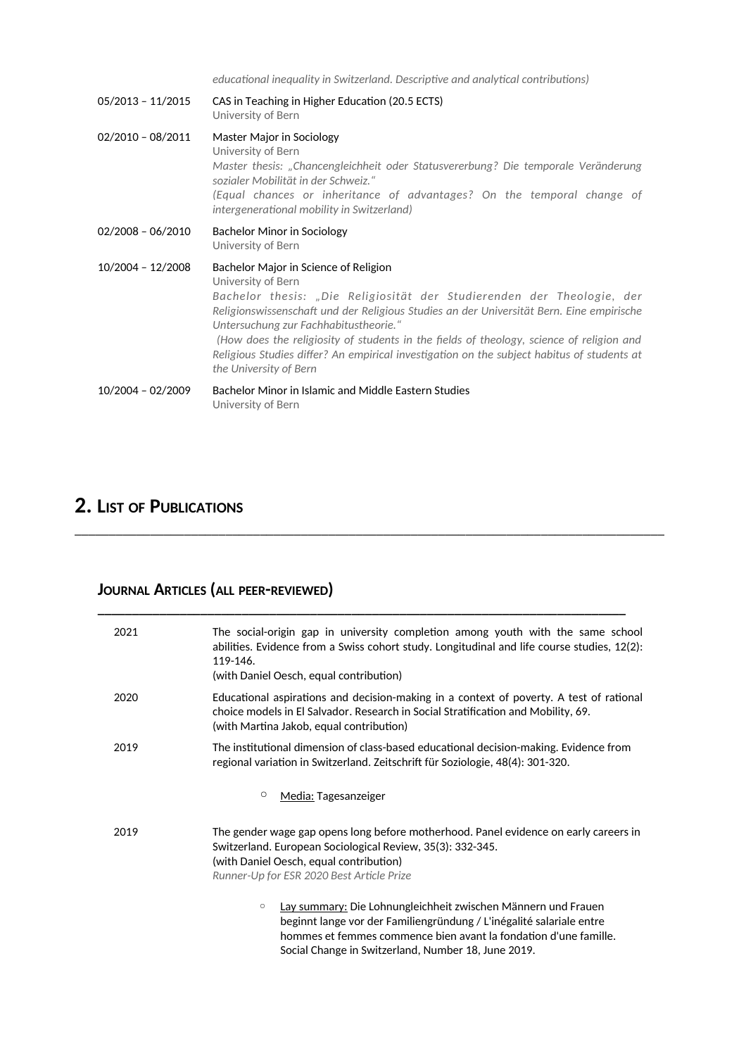educational inequality in Switzerland. Descriptive and analytical contributions)

| $05/2013 - 11/2015$ | CAS in Teaching in Higher Education (20.5 ECTS)<br>University of Bern                                                                                                                                                                                                                                                                                                                                                                                                                          |
|---------------------|------------------------------------------------------------------------------------------------------------------------------------------------------------------------------------------------------------------------------------------------------------------------------------------------------------------------------------------------------------------------------------------------------------------------------------------------------------------------------------------------|
| $02/2010 - 08/2011$ | Master Major in Sociology<br>University of Bern<br>Master thesis: "Chancengleichheit oder Statusvererbung? Die temporale Veränderung<br>sozialer Mobilität in der Schweiz."<br>(Equal chances or inheritance of advantages? On the temporal change of<br>intergenerational mobility in Switzerland)                                                                                                                                                                                            |
| $02/2008 - 06/2010$ | Bachelor Minor in Sociology<br>University of Bern                                                                                                                                                                                                                                                                                                                                                                                                                                              |
| 10/2004 - 12/2008   | Bachelor Major in Science of Religion<br>University of Bern<br>Bachelor thesis: "Die Religiosität der Studierenden der Theologie, der<br>Religionswissenschaft und der Religious Studies an der Universität Bern. Eine empirische<br>Untersuchung zur Fachhabitustheorie."<br>(How does the religiosity of students in the fields of theology, science of religion and<br>Religious Studies differ? An empirical investigation on the subject habitus of students at<br>the University of Bern |
| 10/2004 - 02/2009   | Bachelor Minor in Islamic and Middle Eastern Studies<br>University of Bern                                                                                                                                                                                                                                                                                                                                                                                                                     |

\_\_\_\_\_\_\_\_\_\_\_\_\_\_\_\_\_\_\_\_\_\_\_\_\_\_\_\_\_\_\_\_\_\_\_\_\_\_\_\_\_\_\_\_\_\_\_\_\_\_\_\_\_\_\_\_\_\_\_\_\_\_\_\_\_\_\_\_\_\_\_\_\_\_\_\_\_\_\_\_\_\_\_\_\_\_

# **2. LIST OF PUBLICATIONS**

# **JOURNAL ARTICLES (ALL PEER-REVIEWED)**

| 2021 | The social-origin gap in university completion among youth with the same school<br>abilities. Evidence from a Swiss cohort study. Longitudinal and life course studies, 12(2):<br>119-146.<br>(with Daniel Oesch, equal contribution)                                       |
|------|-----------------------------------------------------------------------------------------------------------------------------------------------------------------------------------------------------------------------------------------------------------------------------|
| 2020 | Educational aspirations and decision-making in a context of poverty. A test of rational<br>choice models in El Salvador. Research in Social Stratification and Mobility, 69.<br>(with Martina Jakob, equal contribution)                                                    |
| 2019 | The institutional dimension of class-based educational decision-making. Evidence from<br>regional variation in Switzerland. Zeitschrift für Soziologie, 48(4): 301-320.                                                                                                     |
|      | O<br>Media: Tagesanzeiger                                                                                                                                                                                                                                                   |
| 2019 | The gender wage gap opens long before motherhood. Panel evidence on early careers in<br>Switzerland. European Sociological Review, 35(3): 332-345.<br>(with Daniel Oesch, equal contribution)<br>Runner-Up for ESR 2020 Best Article Prize                                  |
|      | Lay summary: Die Lohnungleichheit zwischen Männern und Frauen<br>$\circ$<br>beginnt lange vor der Familiengründung / L'inégalité salariale entre<br>hommes et femmes commence bien avant la fondation d'une famille.<br>Social Change in Switzerland, Number 18, June 2019. |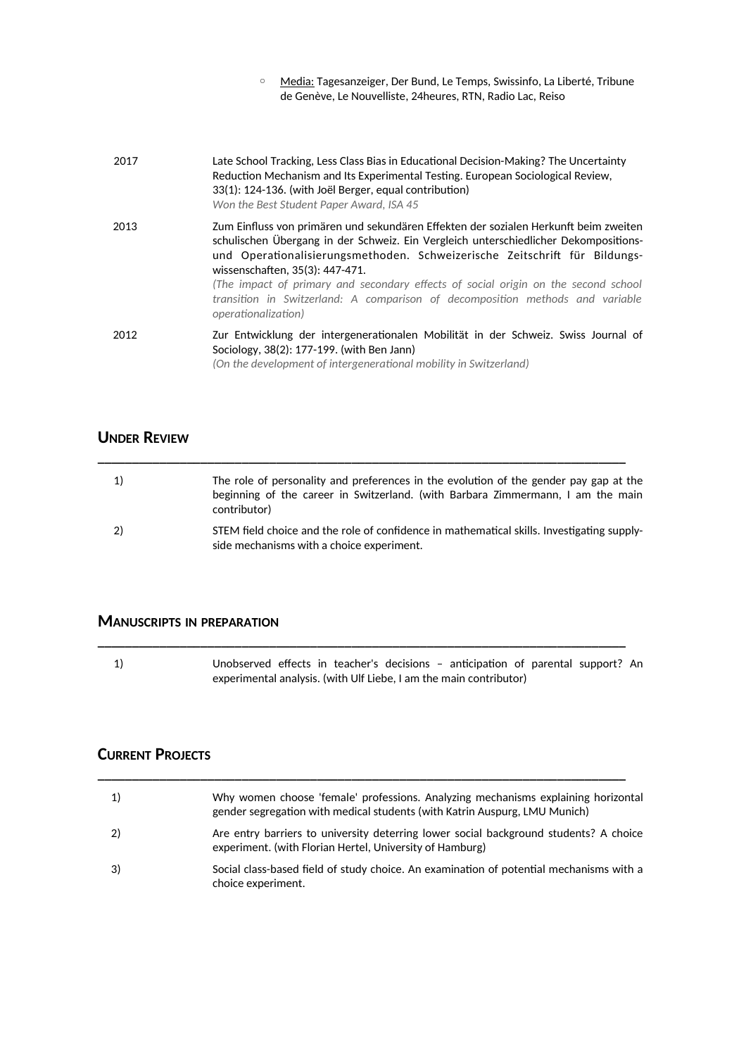| Media: Tagesanzeiger, Der Bund, Le Temps, Swissinfo, La Liberté, Tribune |
|--------------------------------------------------------------------------|
| de Genève, Le Nouvelliste, 24 heures, RTN, Radio Lac, Reiso              |

| 2017 | Late School Tracking, Less Class Bias in Educational Decision-Making? The Uncertainty<br>Reduction Mechanism and Its Experimental Testing. European Sociological Review,<br>33(1): 124-136. (with Joël Berger, equal contribution)<br>Won the Best Student Paper Award, ISA 45                                                                                                                                                                                                                      |
|------|-----------------------------------------------------------------------------------------------------------------------------------------------------------------------------------------------------------------------------------------------------------------------------------------------------------------------------------------------------------------------------------------------------------------------------------------------------------------------------------------------------|
| 2013 | Zum Einfluss von primären und sekundären Effekten der sozialen Herkunft beim zweiten<br>schulischen Übergang in der Schweiz. Ein Vergleich unterschiedlicher Dekompositions-<br>und Operationalisierungsmethoden. Schweizerische Zeitschrift für Bildungs-<br>wissenschaften, 35(3): 447-471.<br>(The impact of primary and secondary effects of social origin on the second school<br>transition in Switzerland: A comparison of decomposition methods and variable<br><i>operationalization</i> ) |
| 2012 | Zur Entwicklung der intergenerationalen Mobilität in der Schweiz. Swiss Journal of<br>Sociology, 38(2): 177-199. (with Ben Jann)<br>(On the development of intergenerational mobility in Switzerland)                                                                                                                                                                                                                                                                                               |

### **UNDER REVIEW**

| 1) | The role of personality and preferences in the evolution of the gender pay gap at the<br>beginning of the career in Switzerland. (with Barbara Zimmermann, I am the main<br>contributor) |
|----|------------------------------------------------------------------------------------------------------------------------------------------------------------------------------------------|
| 2) | STEM field choice and the role of confidence in mathematical skills. Investigating supply-<br>side mechanisms with a choice experiment.                                                  |

**\_\_\_\_\_\_\_\_\_\_\_\_\_\_\_\_\_\_\_\_\_\_\_\_\_\_\_\_\_\_\_\_\_\_\_\_\_\_\_\_\_\_\_\_\_\_\_\_\_\_\_\_\_\_\_\_\_\_\_\_\_\_\_\_\_\_\_\_\_\_\_\_\_\_\_\_\_**

### **MANUSCRIPTS IN PREPARATION**

1) Unobserved effects in teacher's decisions - anticipation of parental support? An experimental analysis. (with Ulf Liebe, I am the main contributor)

**\_\_\_\_\_\_\_\_\_\_\_\_\_\_\_\_\_\_\_\_\_\_\_\_\_\_\_\_\_\_\_\_\_\_\_\_\_\_\_\_\_\_\_\_\_\_\_\_\_\_\_\_\_\_\_\_\_\_\_\_\_\_\_\_\_\_\_\_\_\_\_\_\_\_\_\_\_**

**\_\_\_\_\_\_\_\_\_\_\_\_\_\_\_\_\_\_\_\_\_\_\_\_\_\_\_\_\_\_\_\_\_\_\_\_\_\_\_\_\_\_\_\_\_\_\_\_\_\_\_\_\_\_\_\_\_\_\_\_\_\_\_\_\_\_\_\_\_\_\_\_\_\_\_\_\_**

### **CURRENT PROJECTS**

| 1) | Why women choose 'female' professions. Analyzing mechanisms explaining horizontal<br>gender segregation with medical students (with Katrin Auspurg, LMU Munich) |
|----|-----------------------------------------------------------------------------------------------------------------------------------------------------------------|
| 2) | Are entry barriers to university deterring lower social background students? A choice<br>experiment. (with Florian Hertel, University of Hamburg)               |
| 3) | Social class-based field of study choice. An examination of potential mechanisms with a<br>choice experiment.                                                   |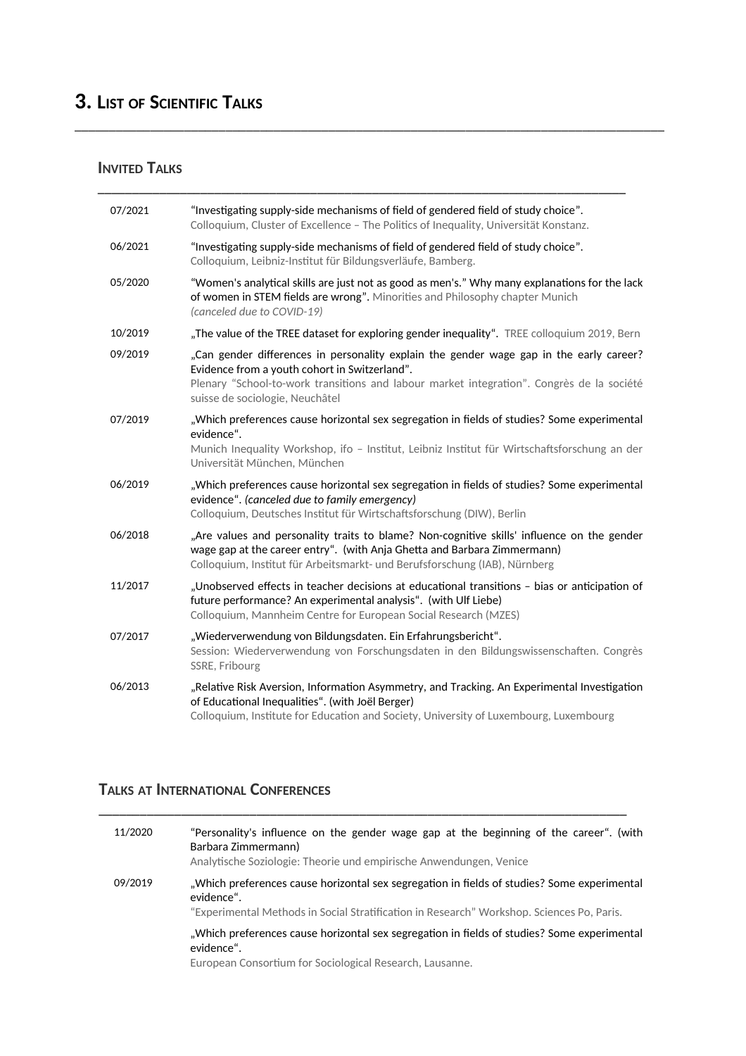# **3. LIST OF SCIENTIFIC TALKS**

#### **INVITED TALKS**

| 07/2021 | "Investigating supply-side mechanisms of field of gendered field of study choice".<br>Colloquium, Cluster of Excellence - The Politics of Inequality, Universität Konstanz.                                                                                              |
|---------|--------------------------------------------------------------------------------------------------------------------------------------------------------------------------------------------------------------------------------------------------------------------------|
| 06/2021 | "Investigating supply-side mechanisms of field of gendered field of study choice".<br>Colloquium, Leibniz-Institut für Bildungsverläufe, Bamberg.                                                                                                                        |
| 05/2020 | "Women's analytical skills are just not as good as men's." Why many explanations for the lack<br>of women in STEM fields are wrong". Minorities and Philosophy chapter Munich<br>(canceled due to COVID-19)                                                              |
| 10/2019 | "The value of the TREE dataset for exploring gender inequality". TREE colloquium 2019, Bern                                                                                                                                                                              |
| 09/2019 | "Can gender differences in personality explain the gender wage gap in the early career?<br>Evidence from a youth cohort in Switzerland".<br>Plenary "School-to-work transitions and labour market integration". Congrès de la société<br>suisse de sociologie, Neuchâtel |
| 07/2019 | "Which preferences cause horizontal sex segregation in fields of studies? Some experimental<br>evidence".<br>Munich Inequality Workshop, ifo - Institut, Leibniz Institut für Wirtschaftsforschung an der<br>Universität München, München                                |
| 06/2019 | "Which preferences cause horizontal sex segregation in fields of studies? Some experimental<br>evidence". (canceled due to family emergency)<br>Colloquium, Deutsches Institut für Wirtschaftsforschung (DIW), Berlin                                                    |
| 06/2018 | "Are values and personality traits to blame? Non-cognitive skills' influence on the gender<br>wage gap at the career entry". (with Anja Ghetta and Barbara Zimmermann)<br>Colloquium, Institut für Arbeitsmarkt- und Berufsforschung (IAB), Nürnberg                     |
| 11/2017 | "Unobserved effects in teacher decisions at educational transitions - bias or anticipation of<br>future performance? An experimental analysis". (with Ulf Liebe)<br>Colloquium, Mannheim Centre for European Social Research (MZES)                                      |
| 07/2017 | "Wiederverwendung von Bildungsdaten. Ein Erfahrungsbericht".<br>Session: Wiederverwendung von Forschungsdaten in den Bildungswissenschaften. Congrès<br>SSRE, Fribourg                                                                                                   |
| 06/2013 | "Relative Risk Aversion, Information Asymmetry, and Tracking. An Experimental Investigation<br>of Educational Inequalities". (with Joël Berger)<br>Colloquium, Institute for Education and Society, University of Luxembourg, Luxembourg                                 |

\_\_\_\_\_\_\_\_\_\_\_\_\_\_\_\_\_\_\_\_\_\_\_\_\_\_\_\_\_\_\_\_\_\_\_\_\_\_\_\_\_\_\_\_\_\_\_\_\_\_\_\_\_\_\_\_\_\_\_\_\_\_\_\_\_\_\_\_\_\_\_\_\_\_\_\_\_\_\_\_\_\_\_\_\_\_

**\_\_\_\_\_\_\_\_\_\_\_\_\_\_\_\_\_\_\_\_\_\_\_\_\_\_\_\_\_\_\_\_\_\_\_\_\_\_\_\_\_\_\_\_\_\_\_\_\_\_\_\_\_\_\_\_\_\_\_\_\_\_\_\_\_\_\_\_\_\_\_\_\_\_\_\_\_**

### **TALKS AT INTERNATIONAL CONFERENCES**

| 11/2020 | "Personality's influence on the gender wage gap at the beginning of the career". (with<br>Barbara Zimmermann)<br>Analytische Soziologie: Theorie und empirische Anwendungen, Venice                    |
|---------|--------------------------------------------------------------------------------------------------------------------------------------------------------------------------------------------------------|
| 09/2019 | "Which preferences cause horizontal sex segregation in fields of studies? Some experimental<br>evidence".<br>"Experimental Methods in Social Stratification in Research" Workshop. Sciences Po, Paris. |
|         | "Which preferences cause horizontal sex segregation in fields of studies? Some experimental<br>evidence".<br>European Consortium for Sociological Research, Lausanne.                                  |

**\_\_\_\_\_\_\_\_\_\_\_\_\_\_\_\_\_\_\_\_\_\_\_\_\_\_\_\_\_\_\_\_\_\_\_\_\_\_\_\_\_\_\_\_\_\_\_\_\_\_\_\_\_\_\_\_\_\_\_\_\_\_\_\_\_\_\_\_\_\_\_\_\_\_\_\_\_**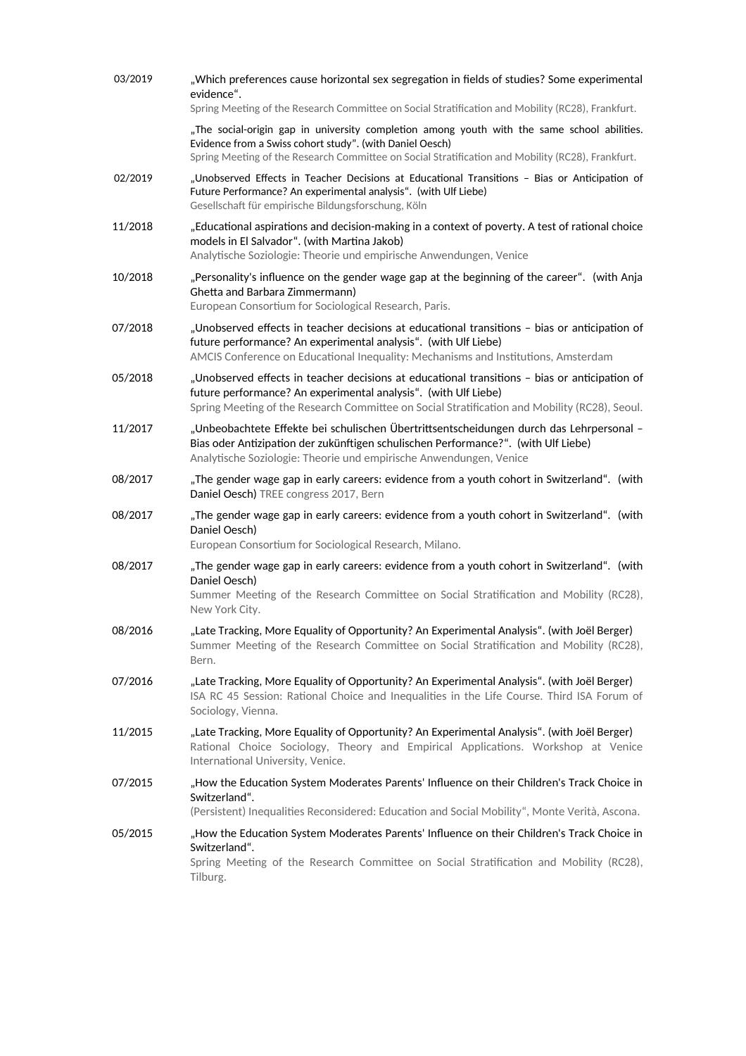| 03/2019 | "Which preferences cause horizontal sex segregation in fields of studies? Some experimental<br>evidence".<br>Spring Meeting of the Research Committee on Social Stratification and Mobility (RC28), Frankfurt.                                                    |
|---------|-------------------------------------------------------------------------------------------------------------------------------------------------------------------------------------------------------------------------------------------------------------------|
|         | "The social-origin gap in university completion among youth with the same school abilities.<br>Evidence from a Swiss cohort study". (with Daniel Oesch)<br>Spring Meeting of the Research Committee on Social Stratification and Mobility (RC28), Frankfurt.      |
| 02/2019 | "Unobserved Effects in Teacher Decisions at Educational Transitions - Bias or Anticipation of<br>Future Performance? An experimental analysis". (with Ulf Liebe)<br>Gesellschaft für empirische Bildungsforschung, Köln                                           |
| 11/2018 | "Educational aspirations and decision-making in a context of poverty. A test of rational choice<br>models in El Salvador". (with Martina Jakob)<br>Analytische Soziologie: Theorie und empirische Anwendungen, Venice                                             |
| 10/2018 | "Personality's influence on the gender wage gap at the beginning of the career". (with Anja<br>Ghetta and Barbara Zimmermann)<br>European Consortium for Sociological Research, Paris.                                                                            |
| 07/2018 | "Unobserved effects in teacher decisions at educational transitions - bias or anticipation of<br>future performance? An experimental analysis". (with Ulf Liebe)<br>AMCIS Conference on Educational Inequality: Mechanisms and Institutions, Amsterdam            |
| 05/2018 | "Unobserved effects in teacher decisions at educational transitions - bias or anticipation of<br>future performance? An experimental analysis". (with Ulf Liebe)<br>Spring Meeting of the Research Committee on Social Stratification and Mobility (RC28), Seoul. |
| 11/2017 | "Unbeobachtete Effekte bei schulischen Übertrittsentscheidungen durch das Lehrpersonal -<br>Bias oder Antizipation der zukünftigen schulischen Performance?". (with Ulf Liebe)<br>Analytische Soziologie: Theorie und empirische Anwendungen, Venice              |
| 08/2017 | "The gender wage gap in early careers: evidence from a youth cohort in Switzerland". (with<br>Daniel Oesch) TREE congress 2017, Bern                                                                                                                              |
| 08/2017 | "The gender wage gap in early careers: evidence from a youth cohort in Switzerland". (with<br>Daniel Oesch)<br>European Consortium for Sociological Research, Milano.                                                                                             |
| 08/2017 | "The gender wage gap in early careers: evidence from a youth cohort in Switzerland". (with<br>Daniel Oesch)<br>Summer Meeting of the Research Committee on Social Stratification and Mobility (RC28),<br>New York City.                                           |
| 08/2016 | "Late Tracking, More Equality of Opportunity? An Experimental Analysis". (with Joël Berger)<br>Summer Meeting of the Research Committee on Social Stratification and Mobility (RC28),<br>Bern.                                                                    |
| 07/2016 | "Late Tracking, More Equality of Opportunity? An Experimental Analysis". (with Joël Berger)<br>ISA RC 45 Session: Rational Choice and Inequalities in the Life Course. Third ISA Forum of<br>Sociology, Vienna.                                                   |
| 11/2015 | "Late Tracking, More Equality of Opportunity? An Experimental Analysis". (with Joël Berger)<br>Rational Choice Sociology, Theory and Empirical Applications. Workshop at Venice<br>International University, Venice.                                              |
| 07/2015 | "How the Education System Moderates Parents' Influence on their Children's Track Choice in<br>Switzerland".<br>(Persistent) Inequalities Reconsidered: Education and Social Mobility", Monte Verità, Ascona.                                                      |
| 05/2015 | "How the Education System Moderates Parents' Influence on their Children's Track Choice in<br>Switzerland".<br>Spring Meeting of the Research Committee on Social Stratification and Mobility (RC28),<br>Tilburg.                                                 |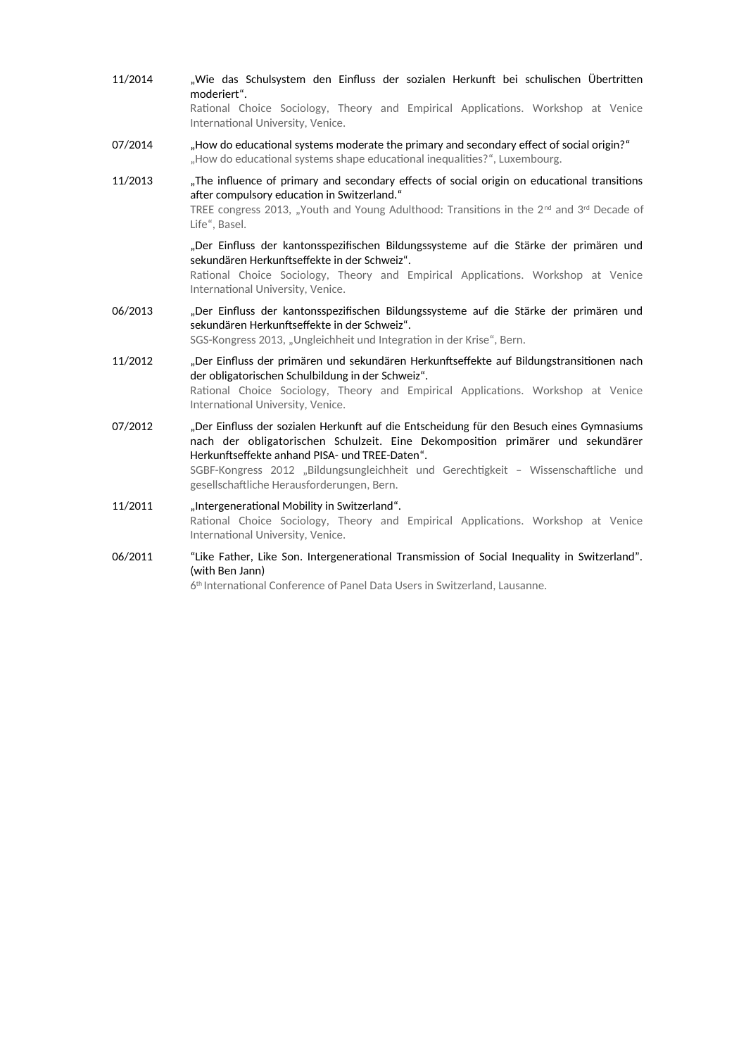11/2014 "Wie das Schulsystem den Einfluss der sozialen Herkunft bei schulischen Übertritten moderiert". Rational Choice Sociology, Theory and Empirical Applications. Workshop at Venice International University, Venice. 07/2014 . How do educational systems moderate the primary and secondary effect of social origin?" "How do educational systems shape educational inequalities?", Luxembourg. 11/2013 . The influence of primary and secondary effects of social origin on educational transitions after compulsory education in Switzerland." TREE congress 2013, "Youth and Young Adulthood: Transitions in the  $2^{nd}$  and  $3^{rd}$  Decade of Life", Basel. "Der Einfuss der kantonsspezifschen Bildungssysteme auf die Stärke der primären und sekundären Herkunftseffekte in der Schweiz". Rational Choice Sociology, Theory and Empirical Applications. Workshop at Venice International University, Venice. 06/2013 . "Der Einfluss der kantonsspezifischen Bildungssysteme auf die Stärke der primären und sekundären Herkunftseffekte in der Schweiz". SGS-Kongress 2013, "Ungleichheit und Integration in der Krise", Bern. 11/2012 "Der Einfluss der primären und sekundären Herkunftseffekte auf Bildungstransitionen nach der obligatorischen Schulbildung in der Schweiz". Rational Choice Sociology, Theory and Empirical Applications. Workshop at Venice International University, Venice. 07/2012 . Der Einfluss der sozialen Herkunft auf die Entscheidung für den Besuch eines Gymnasiums nach der obligatorischen Schulzeit. Eine Dekompositon primärer und sekundärer Herkunftseffekte anhand PISA- und TREE-Daten". SGBF-Kongress 2012 "Bildungsungleichheit und Gerechtigkeit - Wissenschaftliche und gesellschaftliche Herausforderungen, Bern. 11/2011 "Intergenerational Mobility in Switzerland". Rational Choice Sociology, Theory and Empirical Applications. Workshop at Venice International University, Venice. 06/2011 "Like Father, Like Son. Intergenerational Transmission of Social Inequality in Switzerland". (with Ben Jann) 6<sup>th</sup> International Conference of Panel Data Users in Switzerland, Lausanne.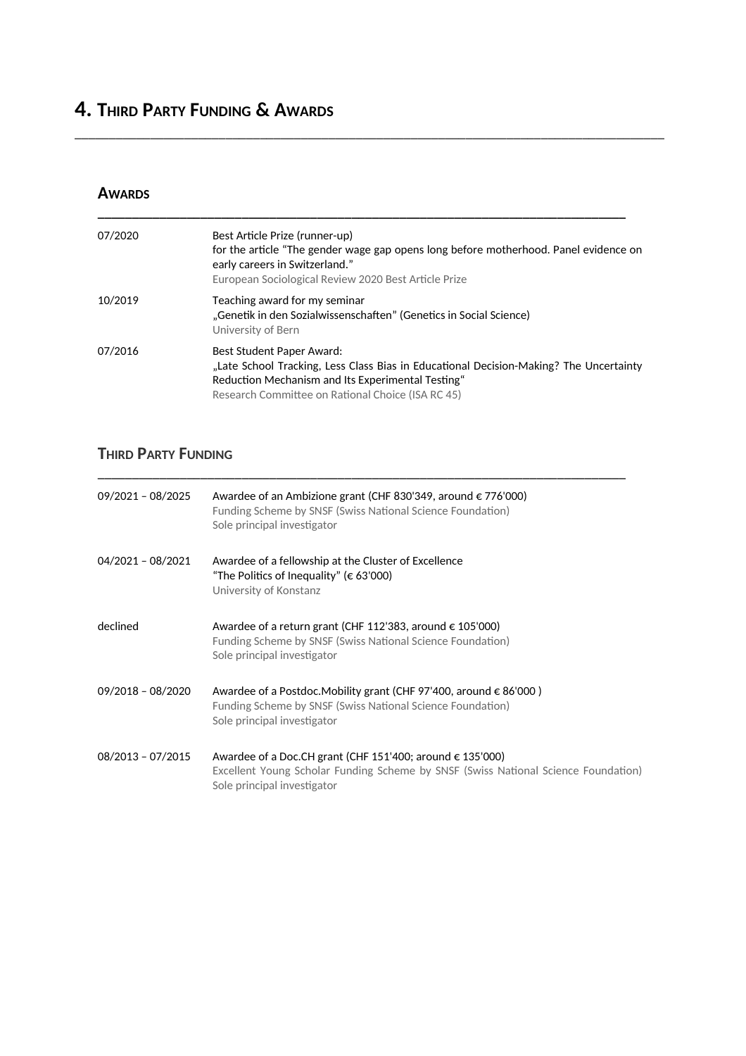# **4. THIRD PARTY FUNDING & AWARDS**

#### **AWARDS**

| 07/2020 | Best Article Prize (runner-up)<br>for the article "The gender wage gap opens long before motherhood. Panel evidence on<br>early careers in Switzerland."<br>European Sociological Review 2020 Best Article Prize              |
|---------|-------------------------------------------------------------------------------------------------------------------------------------------------------------------------------------------------------------------------------|
| 10/2019 | Teaching award for my seminar<br>"Genetik in den Sozialwissenschaften" (Genetics in Social Science)<br>University of Bern                                                                                                     |
| 07/2016 | Best Student Paper Award:<br>"Late School Tracking, Less Class Bias in Educational Decision-Making? The Uncertainty<br>Reduction Mechanism and Its Experimental Testing"<br>Research Committee on Rational Choice (ISA RC 45) |

\_\_\_\_\_\_\_\_\_\_\_\_\_\_\_\_\_\_\_\_\_\_\_\_\_\_\_\_\_\_\_\_\_\_\_\_\_\_\_\_\_\_\_\_\_\_\_\_\_\_\_\_\_\_\_\_\_\_\_\_\_\_\_\_\_\_\_\_\_\_\_\_\_\_\_\_\_\_\_\_\_\_\_\_\_\_

## **THIRD PARTY FUNDING**

| 09/2021 - 08/2025 | Awardee of an Ambizione grant (CHF 830'349, around $\epsilon$ 776'000)<br>Funding Scheme by SNSF (Swiss National Science Foundation)<br>Sole principal investigator                      |
|-------------------|------------------------------------------------------------------------------------------------------------------------------------------------------------------------------------------|
| 04/2021 - 08/2021 | Awardee of a fellowship at the Cluster of Excellence<br>"The Politics of Inequality" (€ 63'000)<br>University of Konstanz                                                                |
| declined          | Awardee of a return grant (CHF 112'383, around $\epsilon$ 105'000)<br>Funding Scheme by SNSF (Swiss National Science Foundation)<br>Sole principal investigator                          |
| 09/2018 - 08/2020 | Awardee of a Postdoc. Mobility grant (CHF 97'400, around $\epsilon$ 86'000)<br>Funding Scheme by SNSF (Swiss National Science Foundation)<br>Sole principal investigator                 |
| 08/2013 - 07/2015 | Awardee of a Doc. CH grant (CHF 151'400; around $\epsilon$ 135'000)<br>Excellent Young Scholar Funding Scheme by SNSF (Swiss National Science Foundation)<br>Sole principal investigator |

**\_\_\_\_\_\_\_\_\_\_\_\_\_\_\_\_\_\_\_\_\_\_\_\_\_\_\_\_\_\_\_\_\_\_\_\_\_\_\_\_\_\_\_\_\_\_\_\_\_\_\_\_\_\_\_\_\_\_\_\_\_\_\_\_\_\_\_\_\_\_\_\_\_\_\_\_\_**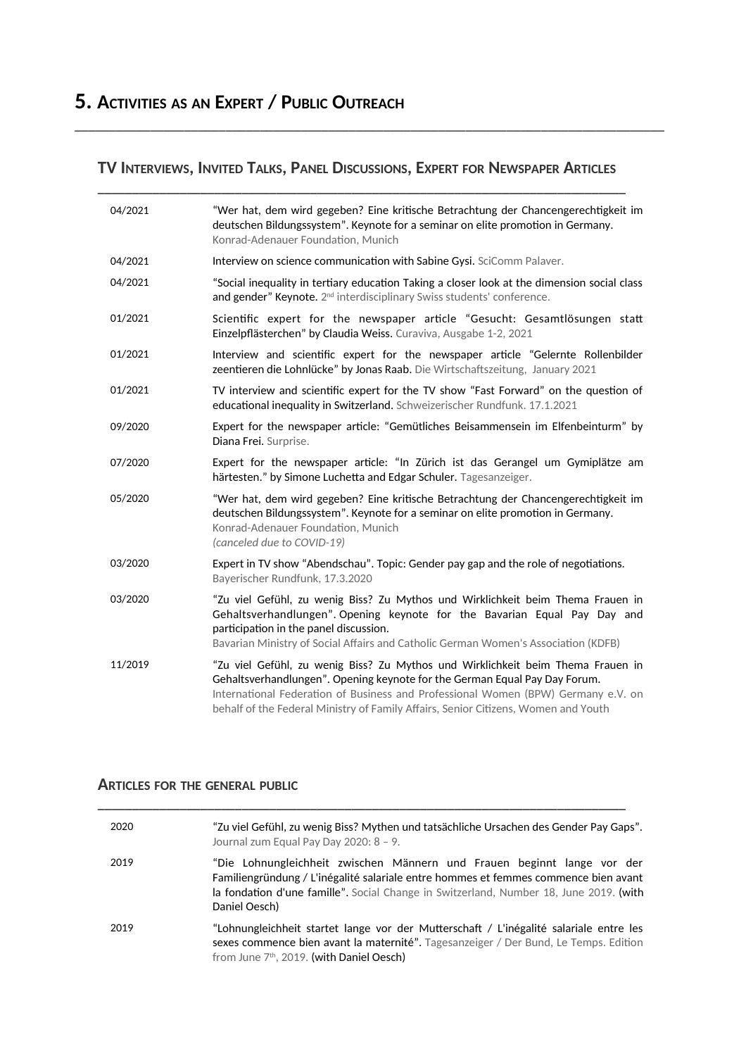# **5. ACTIVITIES AS AN EXPERT / PUBLIC OUTREACH**

**TV INTERVIEWS, INVITED TALKS, PANEL DISCUSSIONS, EXPERT FOR NEWSPAPER ARTICLES**

\_\_\_\_\_\_\_\_\_\_\_\_\_\_\_\_\_\_\_\_\_\_\_\_\_\_\_\_\_\_\_\_\_\_\_\_\_\_\_\_\_\_\_\_\_\_\_\_\_\_\_\_\_\_\_\_\_\_\_\_\_\_\_\_\_\_\_\_\_\_\_\_\_\_\_\_\_\_\_\_\_\_\_\_\_\_

| 04/2021 | "Wer hat, dem wird gegeben? Eine kritische Betrachtung der Chancengerechtigkeit im<br>deutschen Bildungssystem". Keynote for a seminar on elite promotion in Germany.<br>Konrad-Adenauer Foundation, Munich                                                                                                                              |
|---------|------------------------------------------------------------------------------------------------------------------------------------------------------------------------------------------------------------------------------------------------------------------------------------------------------------------------------------------|
| 04/2021 | Interview on science communication with Sabine Gysi. SciComm Palaver.                                                                                                                                                                                                                                                                    |
| 04/2021 | "Social inequality in tertiary education Taking a closer look at the dimension social class<br>and gender" Keynote. 2 <sup>nd</sup> interdisciplinary Swiss students' conference.                                                                                                                                                        |
| 01/2021 | Scientific expert for the newspaper article "Gesucht: Gesamtlösungen statt<br>Einzelpflästerchen" by Claudia Weiss. Curaviva, Ausgabe 1-2, 2021                                                                                                                                                                                          |
| 01/2021 | Interview and scientific expert for the newspaper article "Gelernte Rollenbilder<br>zeentieren die Lohnlücke" by Jonas Raab. Die Wirtschaftszeitung, January 2021                                                                                                                                                                        |
| 01/2021 | TV interview and scientific expert for the TV show "Fast Forward" on the question of<br>educational inequality in Switzerland. Schweizerischer Rundfunk. 17.1.2021                                                                                                                                                                       |
| 09/2020 | Expert for the newspaper article: "Gemütliches Beisammensein im Elfenbeinturm" by<br>Diana Frei. Surprise.                                                                                                                                                                                                                               |
| 07/2020 | Expert for the newspaper article: "In Zürich ist das Gerangel um Gymiplätze am<br>härtesten." by Simone Luchetta and Edgar Schuler. Tagesanzeiger.                                                                                                                                                                                       |
| 05/2020 | "Wer hat, dem wird gegeben? Eine kritische Betrachtung der Chancengerechtigkeit im<br>deutschen Bildungssystem". Keynote for a seminar on elite promotion in Germany.<br>Konrad-Adenauer Foundation, Munich<br>(canceled due to COVID-19)                                                                                                |
| 03/2020 | Expert in TV show "Abendschau". Topic: Gender pay gap and the role of negotiations.<br>Bayerischer Rundfunk, 17.3.2020                                                                                                                                                                                                                   |
| 03/2020 | "Zu viel Gefühl, zu wenig Biss? Zu Mythos und Wirklichkeit beim Thema Frauen in<br>Gehaltsverhandlungen". Opening keynote for the Bavarian Equal Pay Day and<br>participation in the panel discussion.<br>Bavarian Ministry of Social Affairs and Catholic German Women's Association (KDFB)                                             |
| 11/2019 | "Zu viel Gefühl, zu wenig Biss? Zu Mythos und Wirklichkeit beim Thema Frauen in<br>Gehaltsverhandlungen". Opening keynote for the German Equal Pay Day Forum.<br>International Federation of Business and Professional Women (BPW) Germany e.V. on<br>behalf of the Federal Ministry of Family Affairs, Senior Citizens, Women and Youth |

#### **ARTICLES FOR THE GENERAL PUBLIC**

| 2020 | "Zu viel Gefühl, zu wenig Biss? Mythen und tatsächliche Ursachen des Gender Pay Gaps".<br>Journal zum Equal Pay Day 2020: 8 - 9.                                                                                                                                          |
|------|---------------------------------------------------------------------------------------------------------------------------------------------------------------------------------------------------------------------------------------------------------------------------|
| 2019 | "Die Lohnungleichheit zwischen Männern und Frauen beginnt lange vor der<br>Familiengründung / L'inégalité salariale entre hommes et femmes commence bien avant<br>la fondation d'une famille". Social Change in Switzerland, Number 18, June 2019. (with<br>Daniel Oesch) |
| 2019 | "Lohnungleichheit startet lange vor der Mutterschaft / L'inégalité salariale entre les<br>sexes commence bien avant la maternité". Tagesanzeiger / Der Bund, Le Temps. Edition<br>from June 7th, 2019. (with Daniel Oesch)                                                |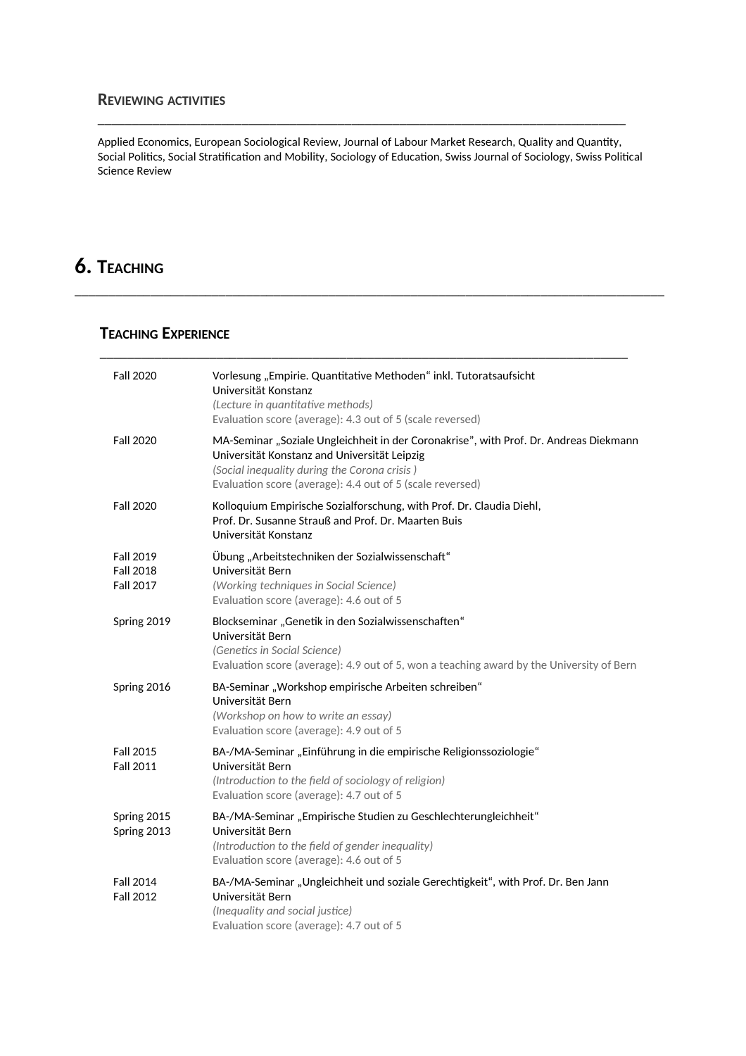#### **REVIEWING ACTIVITIES**

Applied Economics, European Sociological Review, Journal of Labour Market Research, Quality and Quantty, Social Politics, Social Stratification and Mobility, Sociology of Education, Swiss Journal of Sociology, Swiss Political Science Review

\_\_\_\_\_\_\_\_\_\_\_\_\_\_\_\_\_\_\_\_\_\_\_\_\_\_\_\_\_\_\_\_\_\_\_\_\_\_\_\_\_\_\_\_\_\_\_\_\_\_\_\_\_\_\_\_\_\_\_\_\_\_\_\_\_\_\_\_\_\_\_\_\_\_\_\_\_\_\_\_\_\_\_\_\_\_

\_\_\_\_\_\_\_\_\_\_\_\_\_\_\_\_\_\_\_\_\_\_\_\_\_\_\_\_\_\_\_\_\_\_\_\_\_\_\_\_\_\_\_\_\_\_\_\_\_\_\_\_\_\_\_\_\_\_\_\_\_\_\_\_\_\_\_\_\_\_\_\_\_\_\_\_\_

**\_\_\_\_\_\_\_\_\_\_\_\_\_\_\_\_\_\_\_\_\_\_\_\_\_\_\_\_\_\_\_\_\_\_\_\_\_\_\_\_\_\_\_\_\_\_\_\_\_\_\_\_\_\_\_\_\_\_\_\_\_\_\_\_\_\_\_\_\_\_\_\_\_\_\_\_\_**

# **6. TEACHING**

### **TEACHING EXPERIENCE**

| <b>Fall 2020</b>                                         | Vorlesung "Empirie. Quantitative Methoden" inkl. Tutoratsaufsicht<br>Universität Konstanz<br>(Lecture in quantitative methods)<br>Evaluation score (average): 4.3 out of 5 (scale reversed)                                                        |
|----------------------------------------------------------|----------------------------------------------------------------------------------------------------------------------------------------------------------------------------------------------------------------------------------------------------|
| <b>Fall 2020</b>                                         | MA-Seminar "Soziale Ungleichheit in der Coronakrise", with Prof. Dr. Andreas Diekmann<br>Universität Konstanz and Universität Leipzig<br>(Social inequality during the Corona crisis)<br>Evaluation score (average): 4.4 out of 5 (scale reversed) |
| <b>Fall 2020</b>                                         | Kolloquium Empirische Sozialforschung, with Prof. Dr. Claudia Diehl,<br>Prof. Dr. Susanne Strauß and Prof. Dr. Maarten Buis<br>Universität Konstanz                                                                                                |
| <b>Fall 2019</b><br><b>Fall 2018</b><br><b>Fall 2017</b> | Übung "Arbeitstechniken der Sozialwissenschaft"<br>Universität Bern<br>(Working techniques in Social Science)<br>Evaluation score (average): 4.6 out of 5                                                                                          |
| Spring 2019                                              | Blockseminar "Genetik in den Sozialwissenschaften"<br>Universität Bern<br>(Genetics in Social Science)<br>Evaluation score (average): 4.9 out of 5, won a teaching award by the University of Bern                                                 |
| Spring 2016                                              | BA-Seminar "Workshop empirische Arbeiten schreiben"<br>Universität Bern<br>(Workshop on how to write an essay)<br>Evaluation score (average): 4.9 out of 5                                                                                         |
| <b>Fall 2015</b><br><b>Fall 2011</b>                     | BA-/MA-Seminar "Einführung in die empirische Religionssoziologie"<br>Universität Bern<br>(Introduction to the field of sociology of religion)<br>Evaluation score (average): 4.7 out of 5                                                          |
| Spring 2015<br>Spring 2013                               | BA-/MA-Seminar "Empirische Studien zu Geschlechterungleichheit"<br>Universität Bern<br>(Introduction to the field of gender inequality)<br>Evaluation score (average): 4.6 out of 5                                                                |
| <b>Fall 2014</b><br><b>Fall 2012</b>                     | BA-/MA-Seminar "Ungleichheit und soziale Gerechtigkeit", with Prof. Dr. Ben Jann<br>Universität Bern<br>(Inequality and social justice)<br>Evaluation score (average): 4.7 out of 5                                                                |